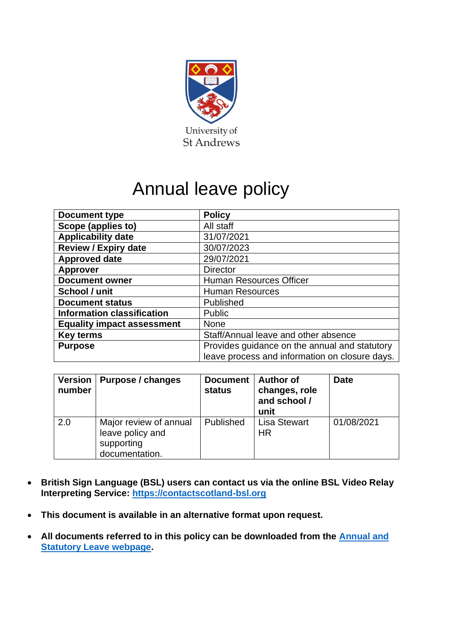

# Annual leave policy

| <b>Document type</b>              | <b>Policy</b>                                  |  |
|-----------------------------------|------------------------------------------------|--|
| Scope (applies to)                | All staff                                      |  |
| <b>Applicability date</b>         | 31/07/2021                                     |  |
| <b>Review / Expiry date</b>       | 30/07/2023                                     |  |
| <b>Approved date</b>              | 29/07/2021                                     |  |
| <b>Approver</b>                   | <b>Director</b>                                |  |
| <b>Document owner</b>             | <b>Human Resources Officer</b>                 |  |
| School / unit                     | <b>Human Resources</b>                         |  |
| <b>Document status</b>            | Published                                      |  |
| <b>Information classification</b> | Public                                         |  |
| <b>Equality impact assessment</b> | <b>None</b>                                    |  |
| <b>Key terms</b>                  | Staff/Annual leave and other absence           |  |
| <b>Purpose</b>                    | Provides guidance on the annual and statutory  |  |
|                                   | leave process and information on closure days. |  |

| <b>Version</b><br>number | Purpose / changes                                                          | <b>Document</b><br>status | <b>Author of</b><br>changes, role<br>and school /<br>unit | <b>Date</b> |
|--------------------------|----------------------------------------------------------------------------|---------------------------|-----------------------------------------------------------|-------------|
| 2.0                      | Major review of annual<br>leave policy and<br>supporting<br>documentation. | Published                 | <b>Lisa Stewart</b><br><b>HR</b>                          | 01/08/2021  |

- **British Sign Language (BSL) users can contact us via the online BSL Video Relay Interpreting Service: [https://contactscotland-bsl.org](https://contactscotland-bsl.org/)**
- **This document is available in an alternative format upon request.**
- **All documents referred to in this policy can be downloaded from the [Annual and](https://www.st-andrews.ac.uk/hr/annual-leave/)  [Statutory Leave webpage.](https://www.st-andrews.ac.uk/hr/annual-leave/)**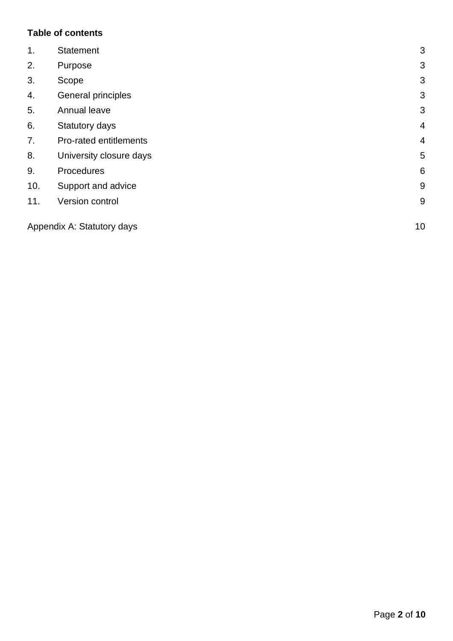# **Table of contents**

| 1.  | <b>Statement</b>           | 3              |
|-----|----------------------------|----------------|
| 2.  | Purpose                    | 3              |
| 3.  | Scope                      | 3              |
| 4.  | General principles         | 3              |
| 5.  | Annual leave               | 3              |
| 6.  | Statutory days             | $\overline{4}$ |
| 7.  | Pro-rated entitlements     | $\overline{4}$ |
| 8.  | University closure days    | 5              |
| 9.  | Procedures                 | 6              |
| 10. | Support and advice         | 9              |
| 11. | Version control            | 9              |
|     | Appendix A: Statutory days | 10             |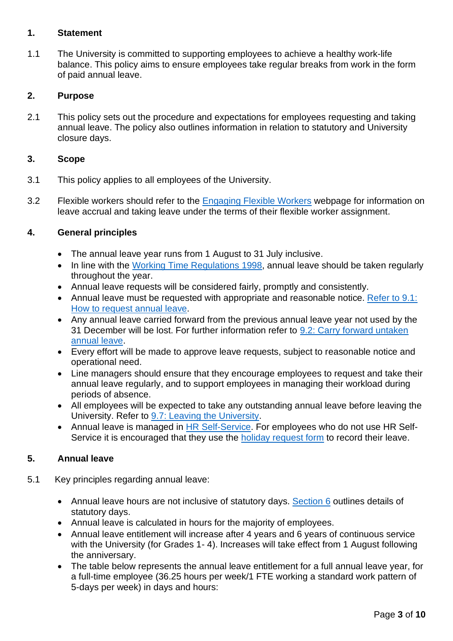## <span id="page-2-0"></span>**1. Statement**

1.1 The University is committed to supporting employees to achieve a healthy work-life balance. This policy aims to ensure employees take regular breaks from work in the form of paid annual leave.

## <span id="page-2-1"></span>**2. Purpose**

2.1 This policy sets out the procedure and expectations for employees requesting and taking annual leave. The policy also outlines information in relation to statutory and University closure days.

#### <span id="page-2-2"></span>**3. Scope**

- 3.1 This policy applies to all employees of the University.
- 3.2 Flexible workers should refer to the **[Engaging Flexible Workers](https://www.st-andrews.ac.uk/hr/salariesandpensions/casualstaff/)** webpage for information on leave accrual and taking leave under the terms of their flexible worker assignment.

# <span id="page-2-3"></span>**4. General principles**

- The annual leave year runs from 1 August to 31 July inclusive.
- In line with the [Working Time Regulations](https://www.legislation.gov.uk/uksi/1998/1833/contents/made) 1998, annual leave should be taken regularly throughout the year.
- Annual leave requests will be considered fairly, promptly and consistently.
- Annual leave must be requested with appropriate and reasonable notice. [Refer to 9.1:](#page-5-1) [How to request](#page-5-1) annual leave.
- Any annual leave carried forward from the previous annual leave year not used by the 31 December will be lost. For further information refer to 9.2: Carry [forward untaken](#page-6-0)  [annual leave.](#page-6-0)
- Every effort will be made to approve leave requests, subject to reasonable notice and operational need.
- Line managers should ensure that they encourage employees to request and take their annual leave regularly, and to support employees in managing their workload during periods of absence.
- All employees will be expected to take any outstanding annual leave before leaving the University. Refer to [9.7: Leaving the University.](#page-7-0)
- Annual leave is managed in [HR Self-Service.](https://www.st-andrews.ac.uk/selfservice/) For employees who do not use HR SelfService it is encouraged that they use the [holiday request form](https://www.st-andrews.ac.uk/media/human-resources/holiday-request-form.docx) to record their leave.

# <span id="page-2-4"></span>**5. Annual leave**

- 5.1 Key principles regarding annual leave:
	- Annual leave hours are not inclusive of statutory days. [Section 6](#page-3-2) outlines details of statutory days.
	- Annual leave is calculated in hours for the majority of employees.
	- Annual leave entitlement will increase after 4 years and 6 years of continuous service with the University (for Grades 1- 4). Increases will take effect from 1 August following the anniversary.
	- The table below represents the annual leave entitlement for a full annual leave year, for a full-time employee (36.25 hours per week/1 FTE working a standard work pattern of 5-days per week) in days and hours: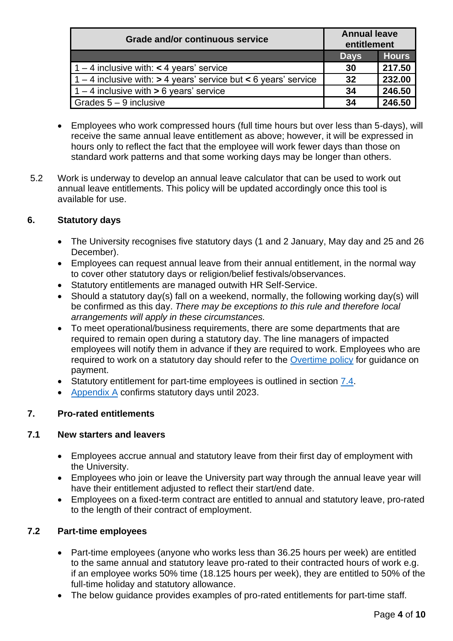| <b>Grade and/or continuous service</b>                              | <b>Annual leave</b><br>entitlement |              |
|---------------------------------------------------------------------|------------------------------------|--------------|
|                                                                     | <b>Days</b>                        | <b>Hours</b> |
| $1 - 4$ inclusive with: < 4 years' service                          | 30                                 | 217.50       |
| $1 - 4$ inclusive with: $> 4$ years' service but < 6 years' service | 32                                 | 232.00       |
| $1 - 4$ inclusive with $> 6$ years' service                         | 34                                 | 246.50       |
| Grades $5 - 9$ inclusive                                            | 34                                 | 246.50       |

- <span id="page-3-2"></span>• Employees who work compressed hours (full time hours but over less than 5-days), will receive the same annual leave entitlement as above; however, it will be expressed in hours only to reflect the fact that the employee will work fewer days than those on standard work patterns and that some working days may be longer than others.
- 5.2 Work is underway to develop an annual leave calculator that can be used to work out annual leave entitlements. This policy will be updated accordingly once this tool is available for use.

# <span id="page-3-0"></span>**6. Statutory days**

- The University recognises five statutory days (1 and 2 January, May day and 25 and 26 December).
- Employees can request annual leave from their annual entitlement, in the normal way to cover other statutory days or religion/belief festivals/observances.
- Statutory entitlements are managed outwith HR Self-Service.
- Should a statutory day(s) fall on a weekend, normally, the following working day(s) will be confirmed as this day. *There may be exceptions to this rule and therefore local arrangements will apply in these circumstances.*
- To meet operational/business requirements, there are some departments that are required to remain open during a statutory day. The line managers of impacted employees will notify them in advance if they are required to work. Employees who are required to work on a statutory day should refer to the [Overtime policy](https://www.st-andrews.ac.uk/policy/staff-pay-and-benefits-pay-rates-arrangements/overtime-policy.pdf) for guidance on payment.
- Statutory entitlement for part-time employees is outlined in section [7.4.](#page-4-1)
- [Appendix A](#page-8-2) confirms statutory days until 2023.

# <span id="page-3-1"></span>**7. Pro-rated entitlements**

# **7.1 New starters and leavers**

- Employees accrue annual and statutory leave from their first day of employment with the University.
- Employees who join or leave the University part way through the annual leave year will have their entitlement adjusted to reflect their start/end date.
- Employees on a fixed-term contract are entitled to annual and statutory leave, pro-rated to the length of their contract of employment.

# **7.2 Part-time employees**

- Part-time employees (anyone who works less than 36.25 hours per week) are entitled to the same annual and statutory leave pro-rated to their contracted hours of work e.g. if an employee works 50% time (18.125 hours per week), they are entitled to 50% of the full-time holiday and statutory allowance.
- The below guidance provides examples of pro-rated entitlements for part-time staff.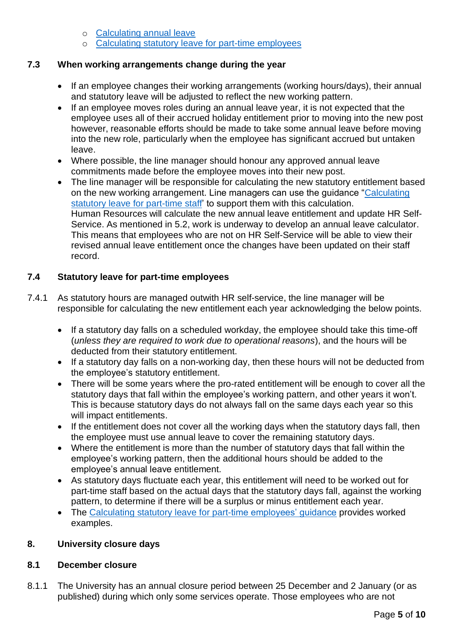- o [Calculating annual leave](https://www.st-andrews.ac.uk/media/human-resources/Calculating-annual-leave.pdf)
- o [Calculating statutory leave for part-time employees](https://www.st-andrews.ac.uk/media/human-resources/Calculating-stat-leave-for-part-time-staff.pdf)

## **7.3 When working arrangements change during the year**

- If an employee changes their working arrangements (working hours/days), their annual and statutory leave will be adjusted to reflect the new working pattern.
- If an employee moves roles during an annual leave year, it is not expected that the employee uses all of their accrued holiday entitlement prior to moving into the new post however, reasonable efforts should be made to take some annual leave before moving into the new role, particularly when the employee has significant accrued but untaken leave.
- Where possible, the line manager should honour any approved annual leave commitments made before the employee moves into their new post.
- The line manager will be responsible for calculating the new statutory entitlement based on the new working arrangement. Line managers can use the guidance ["Calculating](https://www.st-andrews.ac.uk/media/human-resources/Calculating-stat-leave-for-part-time-staff.pdf)  [statutory leave for part-time staff'](https://www.st-andrews.ac.uk/media/human-resources/Calculating-stat-leave-for-part-time-staff.pdf) to support them with this calculation. Human Resources will calculate the new annual leave entitlement and update HR Self-Service. As mentioned in 5.2, work is underway to develop an annual leave calculator. This means that employees who are not on HR Self-Service will be able to view their revised annual leave entitlement once the changes have been updated on their staff record.

# <span id="page-4-1"></span>**7.4 Statutory leave for part-time employees**

- 7.4.1 As statutory hours are managed outwith HR self-service, the line manager will be responsible for calculating the new entitlement each year acknowledging the below points.
	- If a statutory day falls on a scheduled workday, the employee should take this time-off (*unless they are required to work due to operational reasons*), and the hours will be deducted from their statutory entitlement.
	- If a statutory day falls on a non-working day, then these hours will not be deducted from the employee's statutory entitlement.
	- There will be some years where the pro-rated entitlement will be enough to cover all the statutory days that fall within the employee's working pattern, and other years it won't. This is because statutory days do not always fall on the same days each year so this will impact entitlements.
	- If the entitlement does not cover all the working days when the statutory days fall, then the employee must use annual leave to cover the remaining statutory days.
	- Where the entitlement is more than the number of statutory days that fall within the employee's working pattern, then the additional hours should be added to the employee's annual leave entitlement.
	- As statutory days fluctuate each year, this entitlement will need to be worked out for part-time staff based on the actual days that the statutory days fall, against the working pattern, to determine if there will be a surplus or minus entitlement each year.
	- The [Calculating statutory leave for part-time employees' guidance](https://www.st-andrews.ac.uk/media/human-resources/Calculating-stat-leave-for-part-time-staff.pdf) provides worked examples.

# <span id="page-4-0"></span>**8. University closure days**

# **8.1 December closure**

8.1.1 The University has an annual closure period between 25 December and 2 January (or as published) during which only some services operate. Those employees who are not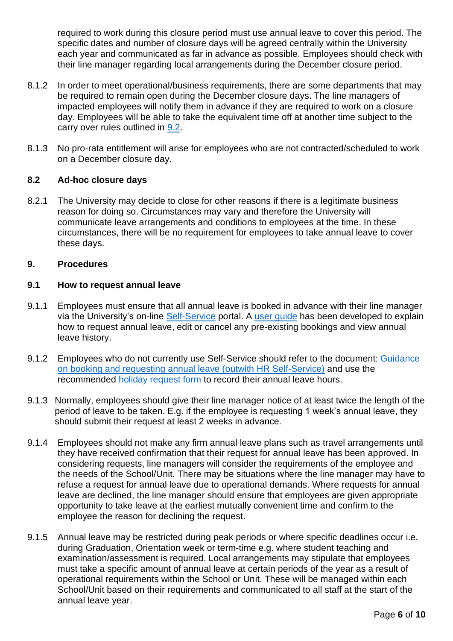required to work during this closure period must use annual leave to cover this period. The specific dates and number of closure days will be agreed centrally within the University each year and communicated as far in advance as possible. Employees should check with their line manager regarding local arrangements during the December closure period.

- 8.1.2 In order to meet operational/business requirements, there are some departments that may be required to remain open during the December closure days. The line managers of impacted employees will notify them in advance if they are required to work on a closure day. Employees will be able to take the equivalent time off at another time subject to the carry over rules outlined in [9.2.](#page-6-0)
- 8.1.3 No pro-rata entitlement will arise for employees who are not contracted/scheduled to work on a December closure day.

## **8.2 Ad-hoc closure days**

8.2.1 The University may decide to close for other reasons if there is a legitimate business reason for doing so. Circumstances may vary and therefore the University will communicate leave arrangements and conditions to employees at the time. In these circumstances, there will be no requirement for employees to take annual leave to cover these days.

#### <span id="page-5-0"></span>**9. Procedures**

#### <span id="page-5-1"></span>**9.1 How to request annual leave**

- 9.1.1 Employees must ensure that all annual leave is booked in advance with their line manager via the University's on-line [Self-Service](https://www.st-andrews.ac.uk/selfservice/) portal. A [user guide](https://www.st-andrews.ac.uk/selfservice/hrselfserviceuserguides/) has been developed to explain how to request annual leave, edit or cancel any pre-existing bookings and view annual leave history.
- 9.1.2 Employees who do not currently use Self-Service should refer to the document: [Guidance](https://www.st-andrews.ac.uk/media/human-resources/Guidance-on-booking-and-requesting-annual-leave%20.pdf) [on booking and requesting annual leave](https://www.st-andrews.ac.uk/media/human-resources/Guidance-on-booking-and-requesting-annual-leave%20.pdf) (outwith HR Self-Service) and use the recommended [holiday request form](https://www.st-andrews.ac.uk/media/human-resources/holiday-request-form.docx) to record their annual leave hours.
- 9.1.3 Normally, employees should give their line manager notice of at least twice the length of the period of leave to be taken. E.g. if the employee is requesting 1 week's annual leave, they should submit their request at least 2 weeks in advance*.*
- 9.1.4 Employees should not make any firm annual leave plans such as travel arrangements until they have received confirmation that their request for annual leave has been approved. In considering requests, line managers will consider the requirements of the employee and the needs of the School/Unit. There may be situations where the line manager may have to refuse a request for annual leave due to operational demands. Where requests for annual leave are declined, the line manager should ensure that employees are given appropriate opportunity to take leave at the earliest mutually convenient time and confirm to the employee the reason for declining the request.
- 9.1.5 Annual leave may be restricted during peak periods or where specific deadlines occur i.e. during Graduation, Orientation week or term-time e.g. where student teaching and examination/assessment is required. Local arrangements may stipulate that employees must take a specific amount of annual leave at certain periods of the year as a result of operational requirements within the School or Unit. These will be managed within each School/Unit based on their requirements and communicated to all staff at the start of the annual leave year.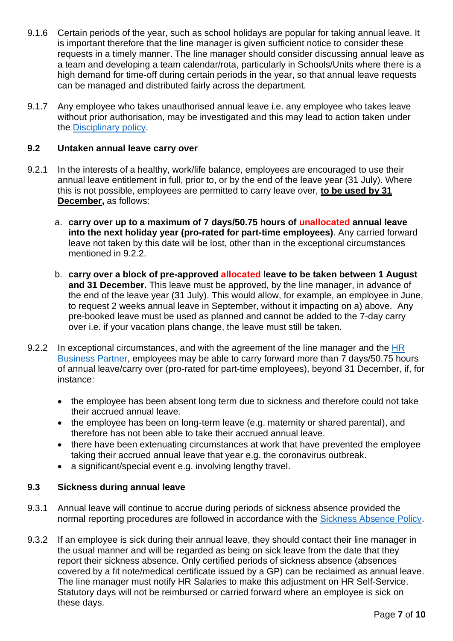- 9.1.6 Certain periods of the year, such as school holidays are popular for taking annual leave. It is important therefore that the line manager is given sufficient notice to consider these requests in a timely manner. The line manager should consider discussing annual leave as a team and developing a team calendar/rota, particularly in Schools/Units where there is a high demand for time-off during certain periods in the year, so that annual leave requests can be managed and distributed fairly across the department.
- 9.1.7 Any employee who takes unauthorised annual leave i.e. any employee who takes leave without prior authorisation, may be investigated and this may lead to action taken under the [Disciplinary policy.](https://www.st-andrews.ac.uk/policy/staff-employee-relations-conduct-management/disciplinary-procedure.pdf)

#### <span id="page-6-0"></span>**9.2 Untaken annual leave carry over**

- 9.2.1 In the interests of a healthy, work/life balance, employees are encouraged to use their annual leave entitlement in full, prior to, or by the end of the leave year (31 July). Where this is not possible, employees are permitted to carry leave over, **to be used by 31 December,** as follows:
	- a. **carry over up to a maximum of 7 days/50.75 hours of unallocated annual leave into the next holiday year (pro-rated for part-time employees)**. Any carried forward leave not taken by this date will be lost, other than in the exceptional circumstances mentioned in 9.2.2.
	- b. **carry over a block of pre-approved allocated leave to be taken between 1 August and 31 December.** This leave must be approved, by the line manager, in advance of the end of the leave year (31 July). This would allow, for example, an employee in June, to request 2 weeks annual leave in September, without it impacting on a) above. Any pre-booked leave must be used as planned and cannot be added to the 7-day carry over i.e. if your vacation plans change, the leave must still be taken.
- 9.2.2 In exceptional circumstances, and with the agreement of the line manager and the HR [Business Partner,](https://www.st-andrews.ac.uk/hr/businesspartner/) employees may be able to carry forward more than 7 days/50.75 hours of annual leave/carry over (pro-rated for part-time employees), beyond 31 December, if, for instance:
	- the employee has been absent long term due to sickness and therefore could not take their accrued annual leave.
	- the employee has been on long-term leave (e.g. maternity or shared parental), and therefore has not been able to take their accrued annual leave.
	- there have been extenuating circumstances at work that have prevented the employee taking their accrued annual leave that year e.g. the coronavirus outbreak.
	- a significant/special event e.g. involving lengthy travel.

# **9.3 Sickness during annual leave**

- 9.3.1 Annual leave will continue to accrue during periods of sickness absence provided the normal reporting procedures are followed in accordance with the [Sickness Absence Policy.](https://www.st-andrews.ac.uk/media/human-resources/new-policy-section-documents/sickness-absence-policy/Sickness_Absence_Policy.pdf)
- 9.3.2 If an employee is sick during their annual leave, they should contact their line manager in the usual manner and will be regarded as being on sick leave from the date that they report their sickness absence. Only certified periods of sickness absence (absences covered by a fit note/medical certificate issued by a GP) can be reclaimed as annual leave. The line manager must notify HR Salaries to make this adjustment on HR Self-Service. Statutory days will not be reimbursed or carried forward where an employee is sick on these days.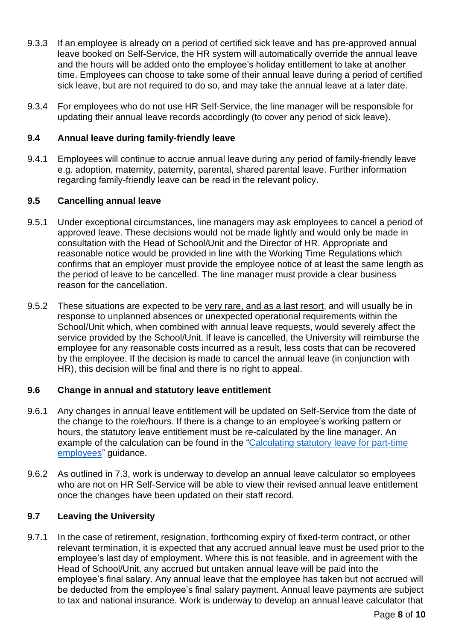- 9.3.3 If an employee is already on a period of certified sick leave and has pre-approved annual leave booked on Self-Service, the HR system will automatically override the annual leave and the hours will be added onto the employee's holiday entitlement to take at another time. Employees can choose to take some of their annual leave during a period of certified sick leave, but are not required to do so, and may take the annual leave at a later date.
- 9.3.4 For employees who do not use HR Self-Service, the line manager will be responsible for updating their annual leave records accordingly (to cover any period of sick leave).

#### **9.4 Annual leave during family-friendly leave**

9.4.1 Employees will continue to accrue annual leave during any period of family-friendly leave e.g. adoption, maternity, paternity, parental, shared parental leave. Further information regarding family-friendly leave can be read in the relevant policy.

## **9.5 Cancelling annual leave**

- 9.5.1 Under exceptional circumstances, line managers may ask employees to cancel a period of approved leave. These decisions would not be made lightly and would only be made in consultation with the Head of School/Unit and the Director of HR. Appropriate and reasonable notice would be provided in line with the Working Time Regulations which confirms that an employer must provide the employee notice of at least the same length as the period of leave to be cancelled. The line manager must provide a clear business reason for the cancellation.
- 9.5.2 These situations are expected to be very rare, and as a last resort, and will usually be in response to unplanned absences or unexpected operational requirements within the School/Unit which, when combined with annual leave requests, would severely affect the service provided by the School/Unit. If leave is cancelled, the University will reimburse the employee for any reasonable costs incurred as a result, less costs that can be recovered by the employee. If the decision is made to cancel the annual leave (in conjunction with HR), this decision will be final and there is no right to appeal.

# **9.6 Change in annual and statutory leave entitlement**

- 9.6.1 Any changes in annual leave entitlement will be updated on Self-Service from the date of the change to the role/hours. If there is a change to an employee's working pattern or hours, the statutory leave entitlement must be re-calculated by the line manager. An example of the calculation can be found in the ["Calculating statutory leave for part-time](https://www.st-andrews.ac.uk/media/human-resources/Calculating-stat-leave-for-part-time-staff.pdf)  [employees"](https://www.st-andrews.ac.uk/media/human-resources/Calculating-stat-leave-for-part-time-staff.pdf) guidance.
- 9.6.2 As outlined in 7.3, work is underway to develop an annual leave calculator so employees who are not on HR Self-Service will be able to view their revised annual leave entitlement once the changes have been updated on their staff record.

# <span id="page-7-0"></span>**9.7 Leaving the University**

9.7.1 In the case of retirement, resignation, forthcoming expiry of fixed-term contract, or other relevant termination, it is expected that any accrued annual leave must be used prior to the employee's last day of employment. Where this is not feasible, and in agreement with the Head of School/Unit, any accrued but untaken annual leave will be paid into the employee's final salary. Any annual leave that the employee has taken but not accrued will be deducted from the employee's final salary payment. Annual leave payments are subject to tax and national insurance. Work is underway to develop an annual leave calculator that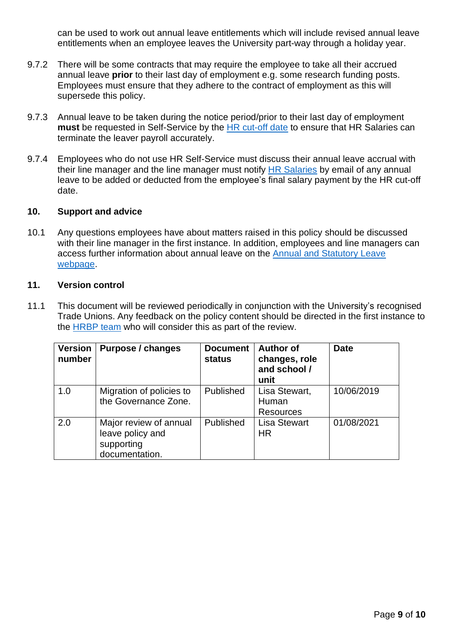can be used to work out annual leave entitlements which will include revised annual leave entitlements when an employee leaves the University part-way through a holiday year.

- 9.7.2 There will be some contracts that may require the employee to take all their accrued annual leave **prior** to their last day of employment e.g. some research funding posts. Employees must ensure that they adhere to the contract of employment as this will supersede this policy.
- 9.7.3 Annual leave to be taken during the notice period/prior to their last day of employment **must** be requested in Self-Service by the [HR cut-off date](https://www.st-andrews.ac.uk/staff/money/salaries/dates/) to ensure that HR Salaries can terminate the leaver payroll accurately.
- 9.7.4 Employees who do not use HR Self-Service must discuss their annual leave accrual with their line manager and the line manager must notify **HR** Salaries by email of any annual leave to be added or deducted from the employee's final salary payment by the HR cut-off date.

#### <span id="page-8-0"></span>**10. Support and advice**

10.1 Any questions employees have about matters raised in this policy should be discussed with their line manager in the first instance. In addition, employees and line managers can access further information about annual leave on the [Annual and Statutory Leave](https://www.st-andrews.ac.uk/hr/annual-leave/)  [webpage.](https://www.st-andrews.ac.uk/hr/annual-leave/)

#### <span id="page-8-1"></span>**11. Version control**

11.1 This document will be reviewed periodically in conjunction with the University's recognised Trade Unions. Any feedback on the policy content should be directed in the first instance to the [HRBP team](https://www.st-andrews.ac.uk/hr/businesspartner/) who will consider this as part of the review.

<span id="page-8-2"></span>

| <b>Version</b><br>number | Purpose / changes                                                          | <b>Document</b><br><b>status</b> | <b>Author of</b><br>changes, role<br>and school /<br>unit | <b>Date</b> |
|--------------------------|----------------------------------------------------------------------------|----------------------------------|-----------------------------------------------------------|-------------|
| 1.0                      | Migration of policies to<br>the Governance Zone.                           | Published                        | Lisa Stewart,<br>Human<br><b>Resources</b>                | 10/06/2019  |
| 2.0                      | Major review of annual<br>leave policy and<br>supporting<br>documentation. | Published                        | <b>Lisa Stewart</b><br><b>HR</b>                          | 01/08/2021  |